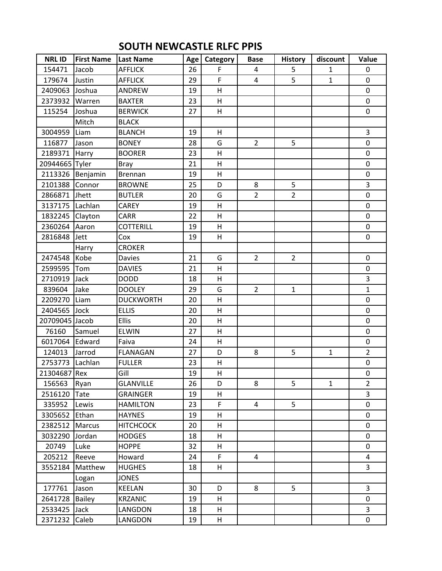## **SOUTH NEWCASTLE RLFC PPIS**

| <b>NRLID</b>    | <b>First Name</b> | Last Name        | Age | Category | <b>Base</b>    | <b>History</b> | discount     | Value          |
|-----------------|-------------------|------------------|-----|----------|----------------|----------------|--------------|----------------|
| 154471          | Jacob             | <b>AFFLICK</b>   | 26  | F        | 4              | 5              | $\mathbf{1}$ | $\mathbf 0$    |
| 179674          | Justin            | <b>AFFLICK</b>   | 29  | F        | 4              | 5              | $\mathbf{1}$ | $\mathbf 0$    |
| 2409063         | Joshua            | ANDREW           | 19  | H        |                |                |              | 0              |
| 2373932 Warren  |                   | <b>BAXTER</b>    | 23  | H        |                |                |              | 0              |
| 115254          | Joshua            | <b>BERWICK</b>   | 27  | H        |                |                |              | 0              |
|                 | Mitch             | <b>BLACK</b>     |     |          |                |                |              |                |
| 3004959         | Liam              | <b>BLANCH</b>    | 19  | H        |                |                |              | 3              |
| 116877          | Jason             | <b>BONEY</b>     | 28  | G        | $\overline{2}$ | 5              |              | $\mathbf 0$    |
| 2189371 Harry   |                   | <b>BOORER</b>    | 23  | Н        |                |                |              | 0              |
| 20944665 Tyler  |                   | Bray             | 21  | H        |                |                |              | 0              |
|                 | 2113326 Benjamin  | <b>Brennan</b>   | 19  | Н        |                |                |              | 0              |
| 2101388         | Connor            | <b>BROWNE</b>    | 25  | D        | 8              | 5              |              | 3              |
| 2866871         | <b>Jhett</b>      | <b>BUTLER</b>    | 20  | G        | $\overline{2}$ | $\overline{2}$ |              | 0              |
| 3137175 Lachlan |                   | CAREY            | 19  | H        |                |                |              | 0              |
| 1832245 Clayton |                   | CARR             | 22  | H        |                |                |              | 0              |
| 2360264 Aaron   |                   | <b>COTTERILL</b> | 19  | H        |                |                |              | 0              |
| 2816848         | Jett              | Cox              | 19  | H        |                |                |              | 0              |
|                 | Harry             | <b>CROKER</b>    |     |          |                |                |              |                |
| 2474548         | Kobe              | Davies           | 21  | G        | $\overline{2}$ | $\overline{2}$ |              | 0              |
| 2599595         | Tom               | <b>DAVIES</b>    | 21  | H        |                |                |              | 0              |
| 2710919         | Jack              | <b>DODD</b>      | 18  | H        |                |                |              | 3              |
| 839604          | Jake              | <b>DOOLEY</b>    | 29  | G        | $\overline{2}$ | $\mathbf{1}$   |              | $\mathbf{1}$   |
| 2209270 Liam    |                   | <b>DUCKWORTH</b> | 20  | H        |                |                |              | 0              |
| 2404565         | Jock              | <b>ELLIS</b>     | 20  | H        |                |                |              | 0              |
| 20709045 Jacob  |                   | <b>Ellis</b>     | 20  | H        |                |                |              | 0              |
| 76160           | Samuel            | <b>ELWIN</b>     | 27  | H        |                |                |              | 0              |
| 6017064 Edward  |                   | Faiva            | 24  | H        |                |                |              | 0              |
| 124013          | Jarrod            | <b>FLANAGAN</b>  | 27  | D        | 8              | 5              | $\mathbf{1}$ | $\overline{2}$ |
| 2753773 Lachlan |                   | <b>FULLER</b>    | 23  | H        |                |                |              | 0              |
| 21304687 Rex    |                   | Gill             | 19  | H        |                |                |              | 0              |
| 156563          | Ryan              | <b>GLANVILLE</b> | 26  | D        | 8              | 5              | 1            | $\overline{2}$ |
| 2516120         | Tate              | <b>GRAINGER</b>  | 19  | H        |                |                |              | 3              |
| 335952          | Lewis             | <b>HAMILTON</b>  | 23  | F.       | 4              | 5              |              | 0              |
| 3305652         | Ethan             | <b>HAYNES</b>    | 19  | H        |                |                |              | 0              |
| 2382512         | Marcus            | <b>HITCHCOCK</b> | 20  | Н        |                |                |              | 0              |
| 3032290         | Jordan            | <b>HODGES</b>    | 18  | H        |                |                |              | 0              |
| 20749           | Luke              | <b>HOPPE</b>     | 32  | H        |                |                |              | 0              |
| 205212          | Reeve             | Howard           | 24  | F        | 4              |                |              | 4              |
| 3552184         | Matthew           | <b>HUGHES</b>    | 18  | H        |                |                |              | $\overline{3}$ |
|                 | Logan             | <b>JONES</b>     |     |          |                |                |              |                |
| 177761          | Jason             | KEELAN           | 30  | D        | 8              | 5              |              | 3              |
| 2641728         | <b>Bailey</b>     | <b>KRZANIC</b>   | 19  | H        |                |                |              | 0              |
| 2533425         | Jack              | LANGDON          | 18  | н        |                |                |              | 3              |
| 2371232         | Caleb             | LANGDON          | 19  | H        |                |                |              | 0              |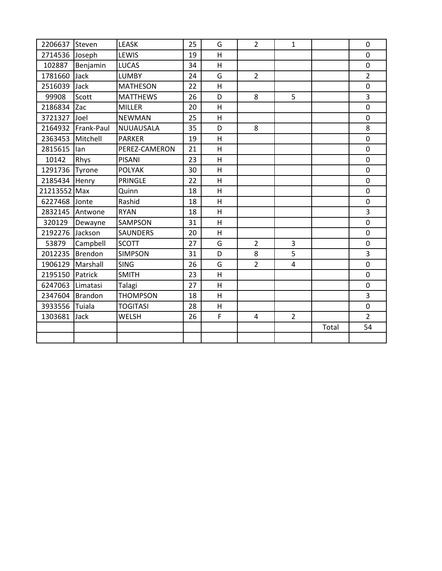| 2206637            | Steven          | <b>LEASK</b>    | 25 | G            | $\overline{2}$ | $\mathbf{1}$   |       | $\mathbf 0$    |
|--------------------|-----------------|-----------------|----|--------------|----------------|----------------|-------|----------------|
| 2714536            | Joseph          | LEWIS           | 19 | H            |                |                |       | $\mathbf 0$    |
| 102887             | Benjamin        | <b>LUCAS</b>    | 34 | H            |                |                |       | $\overline{0}$ |
| 1781660            | Jack            | <b>LUMBY</b>    | 24 | G            | $\overline{2}$ |                |       | $\overline{2}$ |
| 2516039            | Jack            | <b>MATHESON</b> | 22 | H            |                |                |       | $\mathbf 0$    |
| 99908              | Scott           | <b>MATTHEWS</b> | 26 | D            | 8              | 5              |       | 3              |
| 2186834 Zac        |                 | <b>MILLER</b>   | 20 | $\mathsf{H}$ |                |                |       | $\mathbf 0$    |
| 3721327 Joel       |                 | <b>NEWMAN</b>   | 25 | H            |                |                |       | $\mathbf 0$    |
| 2164932            | Frank-Paul      | NUUAUSALA       | 35 | D            | 8              |                |       | 8              |
| 2363453 Mitchell   |                 | <b>PARKER</b>   | 19 | H            |                |                |       | $\mathbf 0$    |
| 2815615            | lan             | PEREZ-CAMERON   | 21 | H            |                |                |       | $\mathbf 0$    |
| 10142              | Rhys            | <b>PISANI</b>   | 23 | H            |                |                |       | $\mathbf 0$    |
| 1291736 Tyrone     |                 | <b>POLYAK</b>   | 30 | H            |                |                |       | $\mathbf 0$    |
| 2185434            | Henry           | PRINGLE         | 22 | H            |                |                |       | $\mathbf 0$    |
| 21213552 Max       |                 | Quinn           | 18 | H            |                |                |       | $\mathbf 0$    |
| 6227468 Jonte      |                 | Rashid          | 18 | H            |                |                |       | $\mathbf 0$    |
|                    | 2832145 Antwone | <b>RYAN</b>     | 18 | H            |                |                |       | 3              |
| 320129             | Dewayne         | SAMPSON         | 31 | H            |                |                |       | $\mathbf 0$    |
| 2192276 Jackson    |                 | <b>SAUNDERS</b> | 20 | H            |                |                |       | $\mathbf 0$    |
| 53879              | Campbell        | <b>SCOTT</b>    | 27 | G            | $\overline{2}$ | 3              |       | $\pmb{0}$      |
| 2012235   Brendon  |                 | <b>SIMPSON</b>  | 31 | D            | 8              | 5              |       | 3              |
| 1906129   Marshall |                 | <b>SING</b>     | 26 | G            | $\overline{2}$ | 4              |       | $\mathbf 0$    |
| 2195150            | Patrick         | <b>SMITH</b>    | 23 | H            |                |                |       | $\overline{0}$ |
| 6247063 Limatasi   |                 | Talagi          | 27 | H            |                |                |       | $\mathbf 0$    |
| 2347604 Brandon    |                 | <b>THOMPSON</b> | 18 | H            |                |                |       | 3              |
| 3933556 Tuiala     |                 | <b>TOGITASI</b> | 28 | H            |                |                |       | $\mathbf 0$    |
| 1303681            | Jack            | <b>WELSH</b>    | 26 | F            | 4              | $\overline{2}$ |       | $\overline{2}$ |
|                    |                 |                 |    |              |                |                | Total | 54             |
|                    |                 |                 |    |              |                |                |       |                |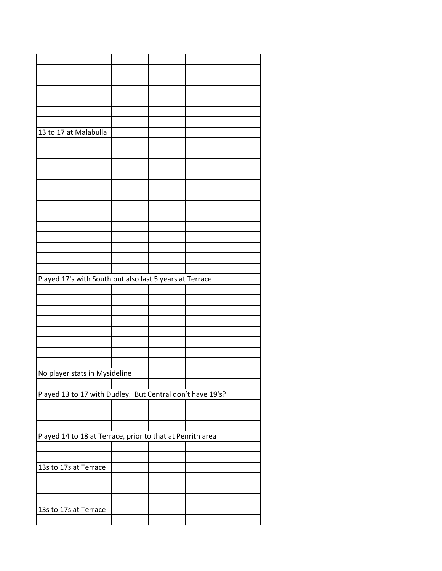| 13 to 17 at Malabulla                                     |  |                                                           |  |  |  |  |  |
|-----------------------------------------------------------|--|-----------------------------------------------------------|--|--|--|--|--|
|                                                           |  |                                                           |  |  |  |  |  |
|                                                           |  |                                                           |  |  |  |  |  |
|                                                           |  |                                                           |  |  |  |  |  |
|                                                           |  |                                                           |  |  |  |  |  |
|                                                           |  |                                                           |  |  |  |  |  |
|                                                           |  |                                                           |  |  |  |  |  |
|                                                           |  |                                                           |  |  |  |  |  |
|                                                           |  |                                                           |  |  |  |  |  |
|                                                           |  |                                                           |  |  |  |  |  |
|                                                           |  |                                                           |  |  |  |  |  |
|                                                           |  |                                                           |  |  |  |  |  |
|                                                           |  |                                                           |  |  |  |  |  |
|                                                           |  |                                                           |  |  |  |  |  |
|                                                           |  |                                                           |  |  |  |  |  |
|                                                           |  | Played 17's with South but also last 5 years at Terrace   |  |  |  |  |  |
|                                                           |  |                                                           |  |  |  |  |  |
|                                                           |  |                                                           |  |  |  |  |  |
|                                                           |  |                                                           |  |  |  |  |  |
|                                                           |  |                                                           |  |  |  |  |  |
|                                                           |  |                                                           |  |  |  |  |  |
|                                                           |  |                                                           |  |  |  |  |  |
|                                                           |  |                                                           |  |  |  |  |  |
|                                                           |  |                                                           |  |  |  |  |  |
|                                                           |  |                                                           |  |  |  |  |  |
| No player stats in Mysideline                             |  |                                                           |  |  |  |  |  |
|                                                           |  |                                                           |  |  |  |  |  |
| Played 13 to 17 with Dudley. But Central don't have 19's? |  |                                                           |  |  |  |  |  |
|                                                           |  |                                                           |  |  |  |  |  |
|                                                           |  |                                                           |  |  |  |  |  |
|                                                           |  |                                                           |  |  |  |  |  |
|                                                           |  |                                                           |  |  |  |  |  |
|                                                           |  | Played 14 to 18 at Terrace, prior to that at Penrith area |  |  |  |  |  |
|                                                           |  |                                                           |  |  |  |  |  |
|                                                           |  |                                                           |  |  |  |  |  |
| 13s to 17s at Terrace                                     |  |                                                           |  |  |  |  |  |
|                                                           |  |                                                           |  |  |  |  |  |
|                                                           |  |                                                           |  |  |  |  |  |
|                                                           |  |                                                           |  |  |  |  |  |
| 13s to 17s at Terrace                                     |  |                                                           |  |  |  |  |  |
|                                                           |  |                                                           |  |  |  |  |  |
|                                                           |  |                                                           |  |  |  |  |  |